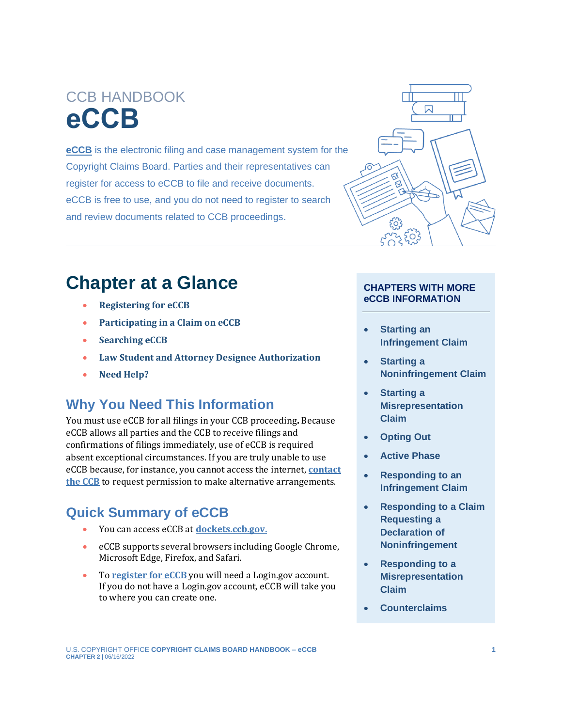# CCB HANDBOOK **eCCB**

**[eCCB](https://dockets.ccb.gov/)** is the electronic filing and case management system for the Copyright Claims Board. Parties and their representatives can register for access to eCCB to file and receive documents. eCCB is free to use, and you do not need to register to search and review documents related to CCB proceedings.



# **Chapter at a Glance**

- **[Registering for eCCB](#page-1-0)**
- **[Participating in a Claim on eCCB](#page-2-0)**
- **[Searching eCCB](#page-4-0)**
- **[Law Student and Attorney Designee](#page-5-0) Authorization**
- **[Need Help?](#page-7-0)**

### **Why You Need This Information**

You must use eCCB for all filings in your CCB proceeding**.** Because eCCB allows all parties and the CCB to receive filings and confirmations of filings immediately, use of eCCB is required absent exceptional circumstances. If you are truly unable to use eCCB because, for instance, you cannot access the internet, **[contact](https://ccb.gov/contact/)  [the CCB](https://ccb.gov/contact/)** to request permission to make alternative arrangements.

## **Quick Summary of eCCB**

- You can access eCCB at **[dockets.ccb.gov.](https://dockets.ccb.gov/)**
- eCCB supports several browsers including Google Chrome, Microsoft Edge, Firefox, and Safari.
- To **[register for eCCB](#page-1-0)** you will need a Login.gov account. If you do not have a Login.gov account, eCCB will take you to where you can create one.

#### **CHAPTERS WITH MORE eCCB INFORMATION**

- **[Starting an](https://ccb.gov/handbook/Infringement-Claim.pdf)  [Infringement Claim](https://ccb.gov/handbook/Infringement-Claim.pdf)**
- **[Starting a](https://ccb.gov/handbook/Noninfringement-Claim.pdf)  [Noninfringement Claim](https://ccb.gov/handbook/Noninfringement-Claim.pdf)**
- **[Starting a](https://ccb.gov/handbook/Misrepresentation-Claim.pdf)  [Misrepresentation](https://ccb.gov/handbook/Misrepresentation-Claim.pdf)  [Claim](https://ccb.gov/handbook/Misrepresentation-Claim.pdf)**
- **[Opting Out](https://ccb.gov/handbook/Opting-Out.pdf)**
- **[Active Phase](https://ccb.gov/handbook/Active-Phase.pdf)**
- **[Responding to an](https://ccb.gov/handbook/Response-Infringement.pdf)  [Infringement Claim](https://ccb.gov/handbook/Response-Infringement.pdf)**
- **[Responding to a Claim](https://ccb.gov/handbook/Response-Noninfringement.pdf)  [Requesting a](https://ccb.gov/handbook/Response-Noninfringement.pdf)  [Declaration of](https://ccb.gov/handbook/Response-Noninfringement.pdf)  [Noninfringement](https://ccb.gov/handbook/Response-Noninfringement.pdf)**
- **[Responding to a](https://ccb.gov/handbook/Response-Misrepresentation.pdf)  [Misrepresentation](https://ccb.gov/handbook/Response-Misrepresentation.pdf)  [Claim](https://ccb.gov/handbook/Response-Misrepresentation.pdf)**
- **[Counterclaims](https://ccb.gov/handbook/Counterclaims.pdf)**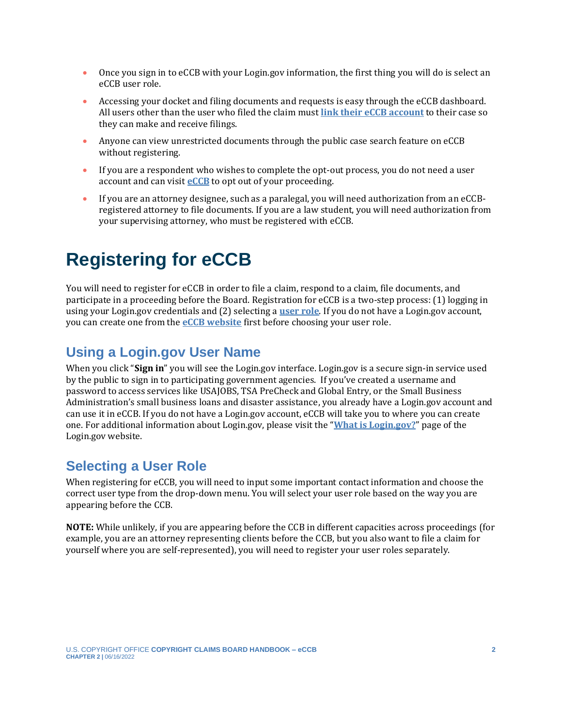- Once you sign in to eCCB with your Login.gov information, the first thing you will do is select an eCCB user role.
- Accessing your docket and filing documents and requests is easy through the eCCB dashboard. All users other than the user who filed the claim must **[link their eCCB account](#page-3-0)** to their case so they can make and receive filings.
- Anyone can view unrestricted documents through the public case search feature on eCCB without registering.
- If you are a respondent who wishes to complete the opt-out process, you do not need a user account and can visit **[eCCB](https://dockets.ccb.gov/)** to opt out of your proceeding.
- If you are an attorney designee, such as a paralegal, you will need authorization from an eCCBregistered attorney to file documents. If you are a law student, you will need authorization from your supervising attorney, who must be registered with eCCB.

# <span id="page-1-0"></span>**Registering for eCCB**

You will need to register for eCCB in order to file a claim, respond to a claim, file documents, and participate in a proceeding before the Board. Registration for eCCB is a two-step process: (1) logging in using your Login.gov credentials and (2) selecting a **[user role](#page-1-1)**. If you do not have a Login.gov account, you can create one from the **[eCCB website](https://dockets.ccb.gov/)** first before choosing your user role.

## **Using a Login.gov User Name**

When you click "**Sign in**" you will see the Login.gov interface. Login.gov is a secure sign-in service used by the public to sign in to participating government agencies. If you've created a username and password to access services like USAJOBS, TSA PreCheck and Global Entry, or the Small Business Administration's small business loans and disaster assistance, you already have a Login.gov account and can use it in eCCB. If you do not have a Login.gov account, eCCB will take you to where you can create one. For additional information about Login.gov, please visit the "**[What is Login.gov?](https://login.gov/what-is-login/)**" page of the Login.gov website.

### <span id="page-1-1"></span>**Selecting a User Role**

When registering for eCCB, you will need to input some important contact information and choose the correct user type from the drop-down menu. You will select your user role based on the way you are appearing before the CCB.

**NOTE:** While unlikely, if you are appearing before the CCB in different capacities across proceedings (for example, you are an attorney representing clients before the CCB, but you also want to file a claim for yourself where you are self-represented), you will need to register your user roles separately.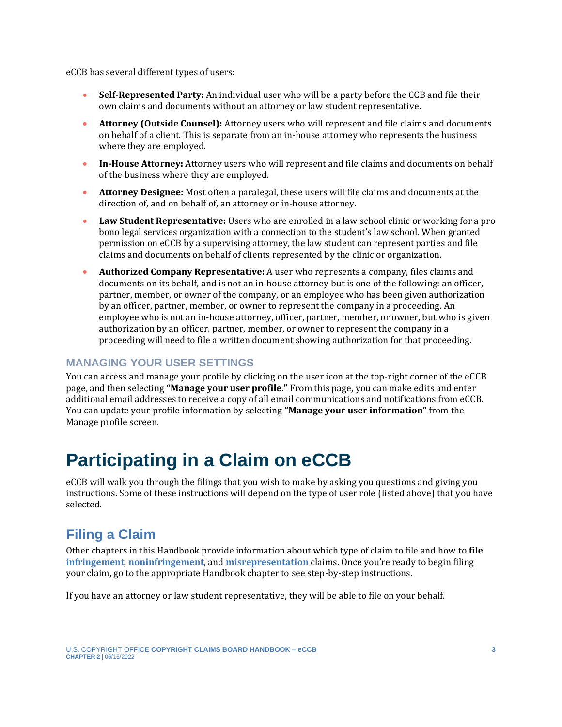eCCB has several different types of users:

- **Self-Represented Party:** An individual user who will be a party before the CCB and file their own claims and documents without an attorney or law student representative.
- **Attorney (Outside Counsel):** Attorney users who will represent and file claims and documents on behalf of a client. This is separate from an in-house attorney who represents the business where they are employed.
- **In-House Attorney:** Attorney users who will represent and file claims and documents on behalf of the business where they are employed.
- **Attorney Designee:** Most often a paralegal, these users will file claims and documents at the direction of, and on behalf of, an attorney or in-house attorney.
- **Law Student Representative:** Users who are enrolled in a law school clinic or working for a pro bono legal services organization with a connection to the student's law school. When granted permission on eCCB by a supervising attorney, the law student can represent parties and file claims and documents on behalf of clients represented by the clinic or organization.
- **Authorized Company Representative:** A user who represents a company, files claims and documents on its behalf, and is not an in-house attorney but is one of the following: an officer, partner, member, or owner of the company, or an employee who has been given authorization by an officer, partner, member, or owner to represent the company in a proceeding. An employee who is not an in-house attorney, officer, partner, member, or owner, but who is given authorization by an officer, partner, member, or owner to represent the company in a proceeding will need to file a written document showing authorization for that proceeding.

#### **MANAGING YOUR USER SETTINGS**

You can access and manage your profile by clicking on the user icon at the top-right corner of the eCCB page, and then selecting **"Manage your user profile."** From this page, you can make edits and enter additional email addresses to receive a copy of all email communications and notifications from eCCB. You can update your profile information by selecting **"Manage your user information"** from the Manage profile screen.

# <span id="page-2-0"></span>**Participating in a Claim on eCCB**

eCCB will walk you through the filings that you wish to make by asking you questions and giving you instructions. Some of these instructions will depend on the type of user role (listed above) that you have selected.

## **Filing a Claim**

Other chapters in this Handbook provide information about which type of claim to file and how to **file [infringement](https://ccb.gov/handbook/Infringement-Claim.pdf)**, **[noninfringement](https://ccb.gov/handbook/NonInfringement-Claim.pdf)**, and **[misrepresentation](https://ccb.gov/handbook/Misrepresentation-Claim.pdf)** claims. Once you're ready to begin filing your claim, go to the appropriate Handbook chapter to see step-by-step instructions.

If you have an attorney or law student representative, they will be able to file on your behalf.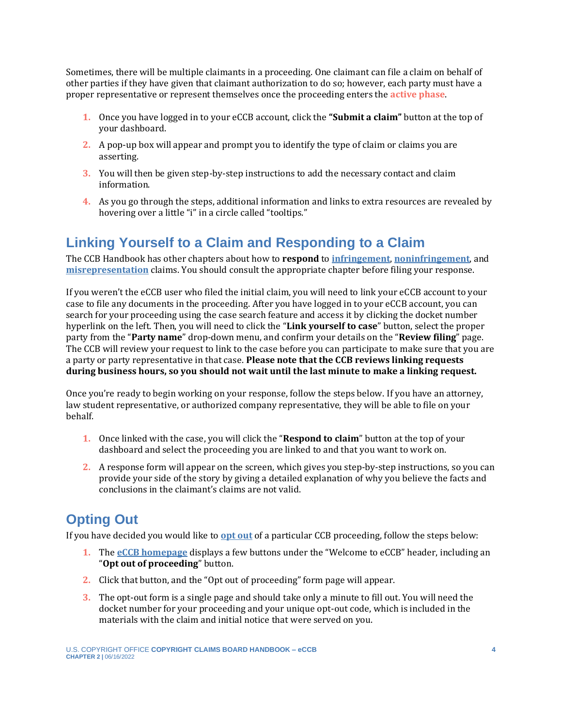Sometimes, there will be multiple claimants in a proceeding. One claimant can file a claim on behalf of other parties if they have given that claimant authorization to do so; however, each party must have a proper representative or represent themselves once the proceeding enters the **[active phase](#page-7-1)**.

- <span id="page-3-1"></span>**1.** Once you have logged in to your eCCB account, click the **"Submit a claim"** button at the top of your dashboard.
- **2.** A pop-up box will appear and prompt you to identify the type of claim or claims you are asserting.
- **3.** You will then be given step-by-step instructions to add the necessary contact and claim information.
- **4.** As you go through the steps, additional information and links to extra resources are revealed by hovering over a little "i" in a circle called "tooltips."

### <span id="page-3-0"></span>**Linking Yourself to a Claim and Responding to a Claim**

The CCB Handbook has other chapters about how to **respond** to **[infringement](https://ccb.gov/handbook/Response-Infringement.pdf)**, **[noninfringement](https://ccb.gov/handbook/Response-Noninfringement.pdf)**, and **[misrepresentation](https://ccb.gov/handbook/Response-Misrepresentation.pdf)** claims. You should consult the appropriate chapter before filing your response.

If you weren't the eCCB user who filed the initial claim, you will need to link your eCCB account to your case to file any documents in the proceeding. After you have logged in to your eCCB account, you can search for your proceeding using the case search feature and access it by clicking the docket number hyperlink on the left. Then, you will need to click the "**Link yourself to case**" button, select the proper party from the "**Party name**" drop-down menu, and confirm your details on the "**Review filing**" page. The CCB will review your request to link to the case before you can participate to make sure that you are a party or party representative in that case. **Please note that the CCB reviews linking requests during business hours, so you should not wait until the last minute to make a linking request.**

Once you're ready to begin working on your response, follow the steps below. If you have an attorney, law student representative, or authorized company representative, they will be able to file on your behalf.

- **1.** Once linked with the case, you will click the "**Respond to claim**" button at the top of your dashboard and select the proceeding you are linked to and that you want to work on.
- **2.** A response form will appear on the screen, which gives you step-by-step instructions, so you can provide your side of the story by giving a detailed explanation of why you believe the facts and conclusions in the claimant's claims are not valid.

## **Opting Out**

If you have decided you would like to **[opt out](https://ccb.gov/handbook/Opting-Out.pdf)** of a particular CCB proceeding, follow the steps below:

- **1.** The **[eCCB homepage](https://dockets.ccb.gov/)** displays a few buttons under the "Welcome to eCCB" header, including an "**Opt out of proceeding**" button.
- **2.** Click that button, and the "Opt out of proceeding" form page will appear.
- **3.** The opt-out form is a single page and should take only a minute to fill out. You will need the docket number for your proceeding and your unique opt-out code, which is included in the materials with the claim and initial notice that were served on you.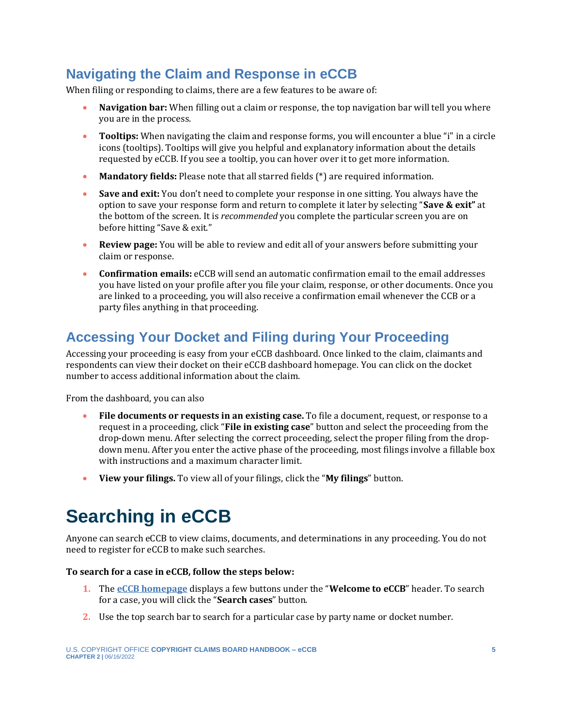## **Navigating the Claim and Response in eCCB**

When filing or responding to claims, there are a few features to be aware of:

- **Navigation bar:** When filling out a claim or response, the top navigation bar will tell you where you are in the process.
- **Tooltips:** When navigating the claim and response forms, you will encounter a blue "i" in a circle icons (tooltips). Tooltips will give you helpful and explanatory information about the details requested by eCCB. If you see a tooltip, you can hover over it to get more information.
- **Mandatory fields:** Please note that all starred fields (\*) are required information.
- **Save and exit:** You don't need to complete your response in one sitting. You always have the option to save your response form and return to complete it later by selecting "**Save & exit"** at the bottom of the screen. It is *recommended* you complete the particular screen you are on before hitting "Save & exit."
- **Review page:** You will be able to review and edit all of your answers before submitting your claim or response.
- **Confirmation emails:** eCCB will send an automatic confirmation email to the email addresses you have listed on your profile after you file your claim, response, or other documents. Once you are linked to a proceeding, you will also receive a confirmation email whenever the CCB or a party files anything in that proceeding.

## **Accessing Your Docket and Filing during Your Proceeding**

Accessing your proceeding is easy from your eCCB dashboard. Once linked to the claim, claimants and respondents can view their docket on their eCCB dashboard homepage. You can click on the docket number to access additional information about the claim.

From the dashboard, you can also

- **File documents or requests in an existing case.** To file a document, request, or response to a request in a proceeding, click "**File in existing case**" button and select the proceeding from the drop-down menu. After selecting the correct proceeding, select the proper filing from the dropdown menu. After you enter the active phase of the proceeding, most filings involve a fillable box with instructions and a maximum character limit.
- **View your filings.** To view all of your filings, click the "**My filings**" button.

# <span id="page-4-0"></span>**Searching in eCCB**

Anyone can search eCCB to view claims, documents, and determinations in any proceeding. You do not need to register for eCCB to make such searches.

#### **To search for a case in eCCB, follow the steps below:**

- **1.** The **[eCCB homepage](https://dockets.ccb.gov/)** displays a few buttons under the "**Welcome to eCCB**" header. To search for a case, you will click the "**Search cases**" button.
- **2.** Use the top search bar to search for a particular case by party name or docket number.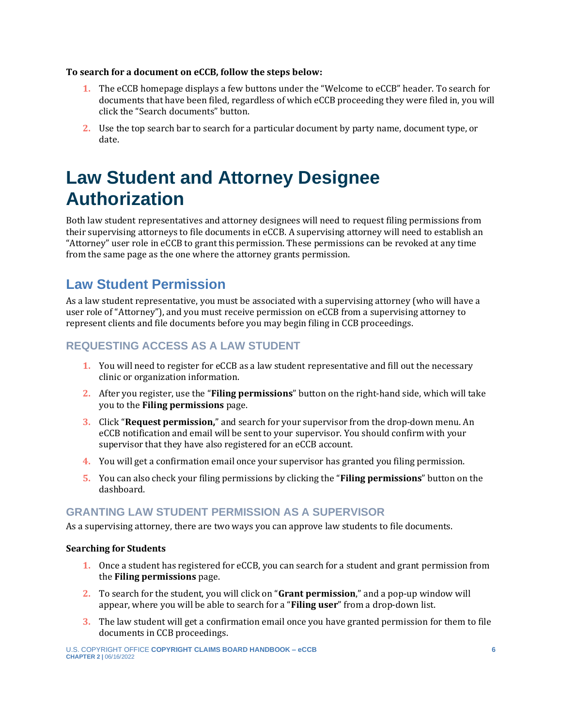#### **To search for a document on eCCB, follow the steps below:**

- **1.** The eCCB homepage displays a few buttons under the "Welcome to eCCB" header. To search for documents that have been filed, regardless of which eCCB proceeding they were filed in, you will click the "Search documents" button.
- **2.** Use the top search bar to search for a particular document by party name, document type, or date.

# <span id="page-5-0"></span>**Law Student and Attorney Designee Authorization**

Both law student representatives and attorney designees will need to request filing permissions from their supervising attorneys to file documents in eCCB. A supervising attorney will need to establish an "Attorney" user role in eCCB to grant this permission. These permissions can be revoked at any time from the same page as the one where the attorney grants permission.

## **Law Student Permission**

As a law student representative, you must be associated with a supervising attorney (who will have a user role of "Attorney"), and you must receive permission on eCCB from a supervising attorney to represent clients and file documents before you may begin filing in CCB proceedings.

#### **REQUESTING ACCESS AS A LAW STUDENT**

- **1.** You will need to register for eCCB as a law student representative and fill out the necessary clinic or organization information.
- **2.** After you register, use the "**Filing permissions**" button on the right-hand side, which will take you to the **Filing permissions** page.
- **3.** Click "**Request permission,**" and search for your supervisor from the drop-down menu. An eCCB notification and email will be sent to your supervisor. You should confirm with your supervisor that they have also registered for an eCCB account.
- **4.** You will get a confirmation email once your supervisor has granted you filing permission.
- **5.** You can also check your filing permissions by clicking the "**Filing permissions**" button on the dashboard.

#### **GRANTING LAW STUDENT PERMISSION AS A SUPERVISOR**

As a supervising attorney, there are two ways you can approve law students to file documents.

#### **Searching for Students**

- **1.** Once a student has registered for eCCB, you can search for a student and grant permission from the **Filing permissions** page.
- **2.** To search for the student, you will click on "**Grant permission**," and a pop-up window will appear, where you will be able to search for a "**Filing user**" from a drop-down list.
- **3.** The law student will get a confirmation email once you have granted permission for them to file documents in CCB proceedings.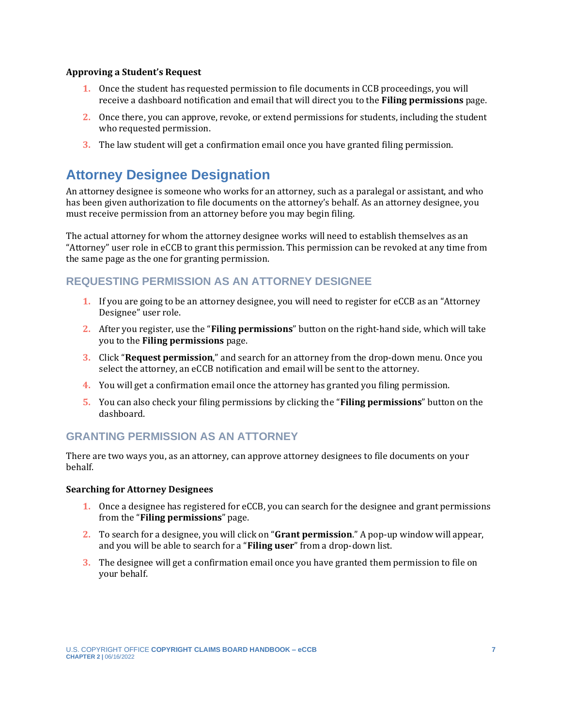#### **Approving a Student's Request**

- **1.** Once the student has requested permission to file documents in CCB proceedings, you will receive a dashboard notification and email that will direct you to the **Filing permissions** page.
- **2.** Once there, you can approve, revoke, or extend permissions for students, including the student who requested permission.
- **3.** The law student will get a confirmation email once you have granted filing permission.

## **Attorney Designee Designation**

An attorney designee is someone who works for an attorney, such as a paralegal or assistant, and who has been given authorization to file documents on the attorney's behalf. As an attorney designee, you must receive permission from an attorney before you may begin filing.

The actual attorney for whom the attorney designee works will need to establish themselves as an "Attorney" user role in eCCB to grant this permission. This permission can be revoked at any time from the same page as the one for granting permission.

#### **REQUESTING PERMISSION AS AN ATTORNEY DESIGNEE**

- **1.** If you are going to be an attorney designee, you will need to register for eCCB as an "Attorney Designee" user role.
- **2.** After you register, use the "**Filing permissions**" button on the right-hand side, which will take you to the **Filing permissions** page.
- **3.** Click "**Request permission**," and search for an attorney from the drop-down menu. Once you select the attorney, an eCCB notification and email will be sent to the attorney.
- **4.** You will get a confirmation email once the attorney has granted you filing permission.
- **5.** You can also check your filing permissions by clicking the "**Filing permissions**" button on the dashboard.

#### **GRANTING PERMISSION AS AN ATTORNEY**

There are two ways you, as an attorney, can approve attorney designees to file documents on your behalf.

#### **Searching for Attorney Designees**

- **1.** Once a designee has registered for eCCB, you can search for the designee and grant permissions from the "**Filing permissions**" page.
- **2.** To search for a designee, you will click on "**Grant permission**." A pop-up window will appear, and you will be able to search for a "**Filing user**" from a drop-down list.
- **3.** The designee will get a confirmation email once you have granted them permission to file on your behalf.